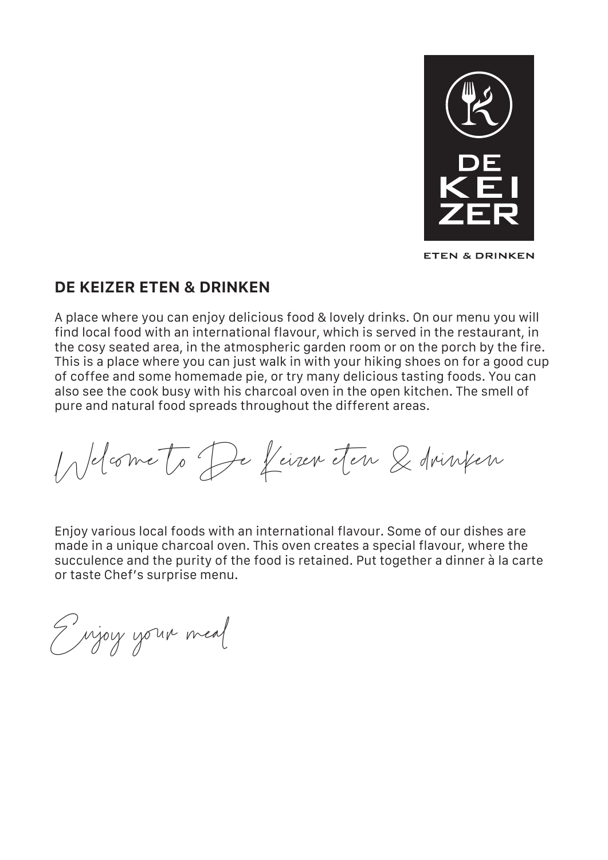

**ETEN & DRINKEN** 

### **DE KEIZER ETEN & DRINKEN**

A place where you can enjoy delicious food & lovely drinks. On our menu you will find local food with an international flavour, which is served in the restaurant, in the cosy seated area, in the atmospheric garden room or on the porch by the fire. This is a place where you can just walk in with your hiking shoes on for a good cup of coffee and some homemade pie, or try many delicious tasting foods. You can also see the cook busy with his charcoal oven in the open kitchen. The smell of pure and natural food spreads throughout the different areas.

Welcome to De Keizer eten & drinken

Enjoy various local foods with an international flavour. Some of our dishes are made in a unique charcoal oven. This oven creates a special flavour, where the succulence and the purity of the food is retained. Put together a dinner à la carte or taste Chef's surprise menu.

Enjoy your meal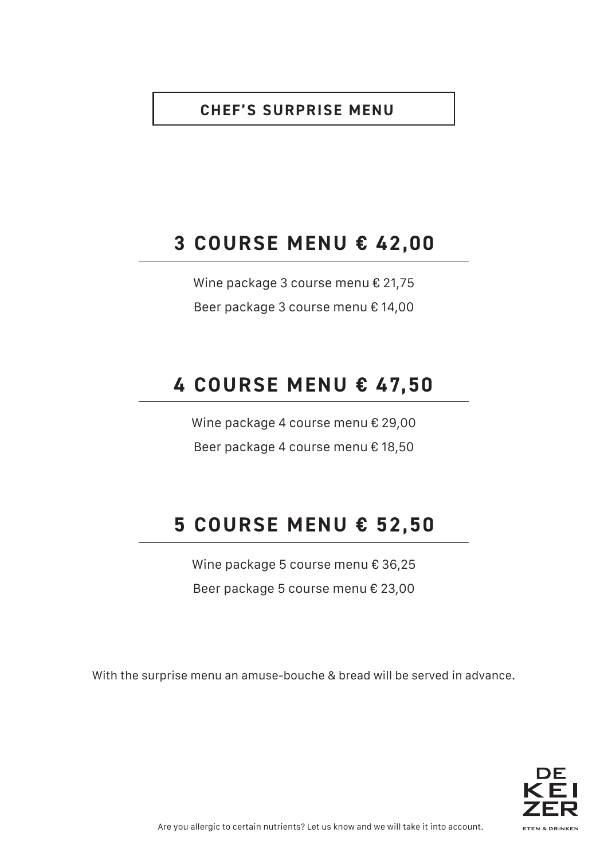## **CHEF'S SURPRISE MENU**

# **3 COURSE MENU € 42,00**

Wine package 3 course menu € 21,75 Beer package 3 course menu € 14,00

# **4 COURSE MENU € 47,50**

Wine package 4 course menu € 29,00 Beer package 4 course menu € 18,50

# **5 COURSE MENU € 52,50**

Wine package 5 course menu € 36,25 Beer package 5 course menu € 23,00

With the surprise menu an amuse-bouche & bread will be served in advance.

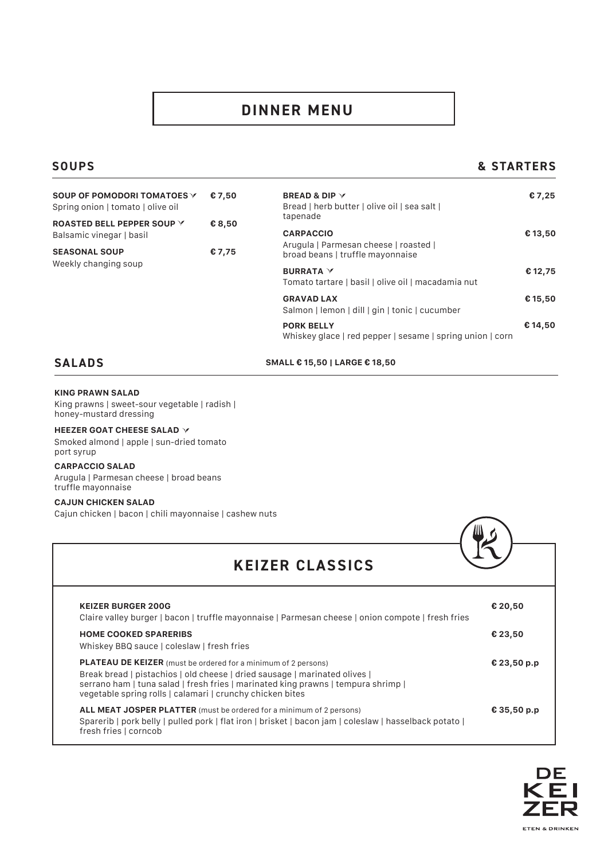# **DINNER MENU**

### **SOUPS**

### **& STARTERS**

| SOUP OF POMODORI TOMATOES Y<br>Spring onion   tomato   olive oil | € 7,50 |
|------------------------------------------------------------------|--------|
| ROASTED BELL PEPPER SOUP Y<br>Balsamic vinegar   basil           | € 8,50 |
| <b>SEASONAL SOUP</b><br>Weekly changing soup                     | € 7,75 |

| €7,50<br>€ 8,50 | <b>BREAD &amp; DIP <math>\vee</math></b><br>Bread   herb butter   olive oil   sea salt  <br>tapenade | € 7,25  |
|-----------------|------------------------------------------------------------------------------------------------------|---------|
|                 | <b>CARPACCIO</b>                                                                                     | € 13,50 |
| € 7,75          | Arugula   Parmesan cheese   roasted  <br>broad beans   truffle mayonnaise                            |         |
|                 | <b>BURRATA</b> Y<br>Tomato tartare   basil   olive oil   macadamia nut                               | € 12,75 |
|                 | <b>GRAVAD LAX</b><br>Salmon   lemon   dill   gin   tonic   cucumber                                  | € 15,50 |
|                 | <b>PORK BELLY</b><br>Whiskey glace   red pepper   sesame   spring union   corn                       | € 14,50 |

### **SALADS**

**SMALL € 15,50 | LARGE € 18,50**

#### **KING PRAWN SALAD**

King prawns | sweet-sour vegetable | radish | honey-mustard dressing

#### **HEEZER GOAT CHEESE SALAD**

Smoked almond | apple | sun-dried tomato port syrup

#### **CARPACCIO SALAD**

Arugula | Parmesan cheese | broad beans truffle mayonnaise

### **CAJUN CHICKEN SALAD**

Cajun chicken | bacon | chili mayonnaise | cashew nuts

| <b>KEIZER CLASSICS</b>                                                                                                                                                                                                                                                                                |             |
|-------------------------------------------------------------------------------------------------------------------------------------------------------------------------------------------------------------------------------------------------------------------------------------------------------|-------------|
| <b>KEIZER BURGER 200G</b><br>Claire valley burger   bacon   truffle mayonnaise   Parmesan cheese   onion compote   fresh fries                                                                                                                                                                        | € 20,50     |
| <b>HOME COOKED SPARERIBS</b><br>Whiskey BBQ sauce   coleslaw   fresh fries                                                                                                                                                                                                                            | € 23,50     |
| <b>PLATEAU DE KEIZER</b> (must be ordered for a minimum of 2 persons)<br>Break bread   pistachios   old cheese   dried sausage   marinated olives  <br>serrano ham   tuna salad   fresh fries   marinated king prawns   tempura shrimp  <br>vegetable spring rolls   calamari   crunchy chicken bites | € 23,50 p.p |
| <b>ALL MEAT JOSPER PLATTER</b> (must be ordered for a minimum of 2 persons)<br>Sparerib   pork belly   pulled pork   flat iron   brisket   bacon jam   coleslaw   hasselback potato  <br>fresh fries   corncob                                                                                        | € 35,50 p.p |